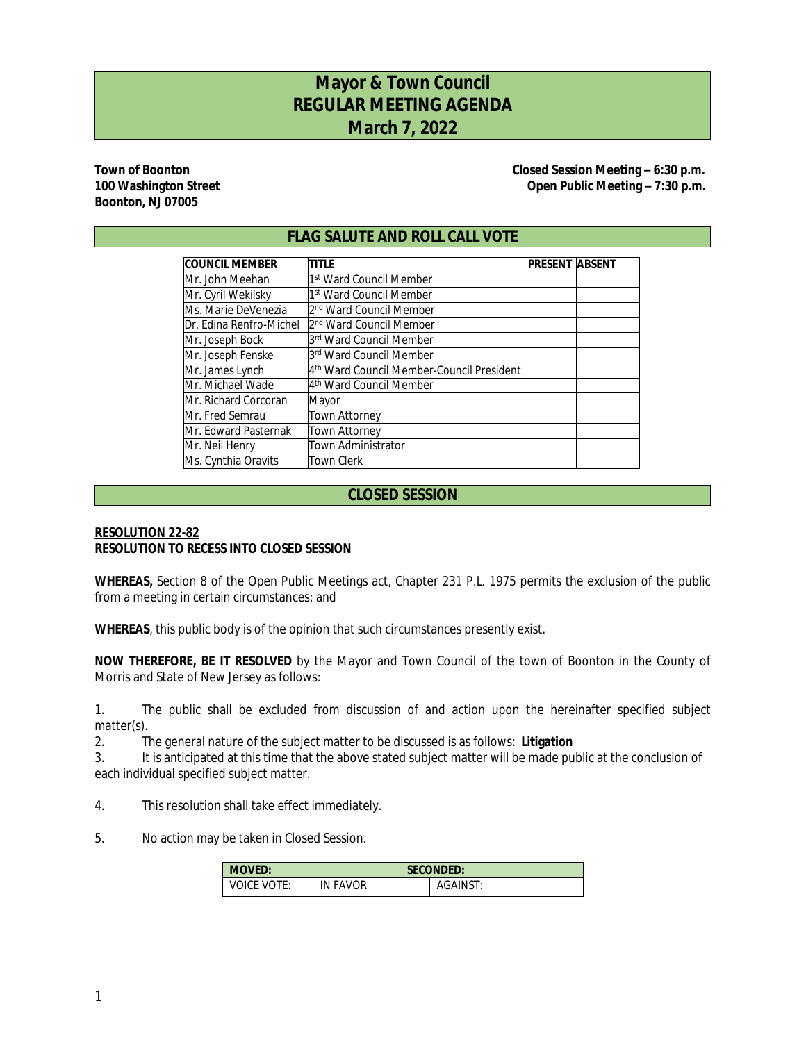# **Mayor & Town Council REGULAR MEETING AGENDA March 7, 2022**

# **Boonton, NJ 07005**

**Town of Boonton Closed Session Meeting – 6:30 p.m.** 100 Washington Street *100 Washington Street Cone Cone Cone Cone Cone Cone Cone Cone Cone Cone Cone Cone Cone Cone Cone Cone Cone Cone Cone C* 

## **FLAG SALUTE AND ROLL CALL VOTE**

| <b>COUNCIL MEMBER</b>   | TITLE                                     | <b>PRESENT ABSENT</b> |  |
|-------------------------|-------------------------------------------|-----------------------|--|
| IMr. John Meehan        | 1st Ward Council Member                   |                       |  |
| Mr. Cyril Wekilsky      | 1st Ward Council Member                   |                       |  |
| Ms. Marie DeVenezia     | l2 <sup>nd</sup> Ward Council Member      |                       |  |
| Dr. Edina Renfro-Michel | l2 <sup>nd</sup> Ward Council Member      |                       |  |
| Mr. Joseph Bock         | 3rd Ward Council Member                   |                       |  |
| Mr. Joseph Fenske       | 3rd Ward Council Member                   |                       |  |
| Mr. James Lynch         | 4th Ward Council Member-Council President |                       |  |
| Mr. Michael Wade        | l4 <sup>th</sup> Ward Council Member      |                       |  |
| IMr. Richard Corcoran   | Mayor                                     |                       |  |
| Mr. Fred Semrau         | <b>Town Attorney</b>                      |                       |  |
| IMr. Edward Pasternak   | <b>Town Attorney</b>                      |                       |  |
| Mr. Neil Henry          | <b>Town Administrator</b>                 |                       |  |
| Ms. Cynthia Oravits     | <b>Town Clerk</b>                         |                       |  |

# **CLOSED SESSION**

#### **RESOLUTION 22-82 RESOLUTION TO RECESS INTO CLOSED SESSION**

**WHEREAS,** Section 8 of the Open Public Meetings act, Chapter 231 P.L. 1975 permits the exclusion of the public from a meeting in certain circumstances; and

**WHEREAS**, this public body is of the opinion that such circumstances presently exist.

**NOW THEREFORE, BE IT RESOLVED** by the Mayor and Town Council of the town of Boonton in the County of Morris and State of New Jersey as follows:

1. The public shall be excluded from discussion of and action upon the hereinafter specified subject matter(s).

2. The general nature of the subject matter to be discussed is as follows: **Litigation**

3. It is anticipated at this time that the above stated subject matter will be made public at the conclusion of each individual specified subject matter.

- 4. This resolution shall take effect immediately.
- 5. No action may be taken in Closed Session.

| <b>MOVED:</b>    |                 | <b>SECONDED:</b> |          |  |
|------------------|-----------------|------------------|----------|--|
| VOTE:<br>VOICE ' | <b>IN FAVOR</b> |                  | AGAINST: |  |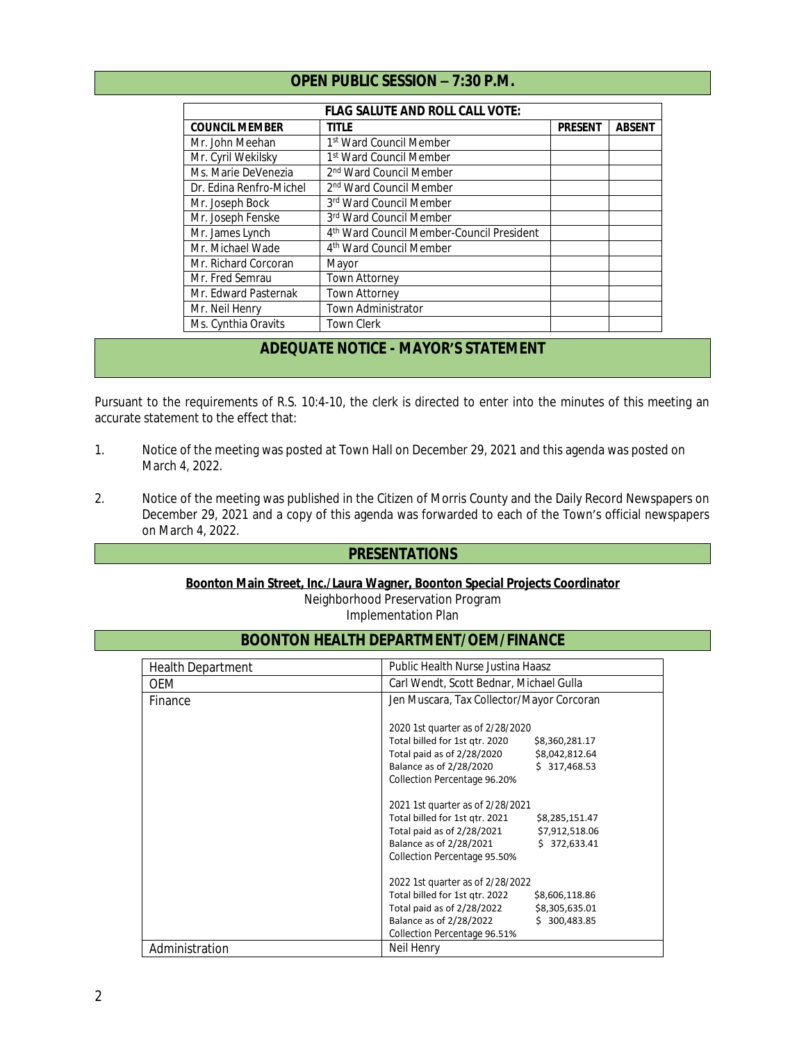|  | <b>OPEN PUBLIC SESSION - 7:30 P.M.</b> |  |
|--|----------------------------------------|--|
|--|----------------------------------------|--|

| <b>FLAG SALUTE AND ROLL CALL VOTE:</b> |                                           |                |               |  |
|----------------------------------------|-------------------------------------------|----------------|---------------|--|
| <b>COUNCIL MEMBER</b>                  | title                                     | <b>PRESENT</b> | <b>ABSENT</b> |  |
| Mr. John Meehan                        | 1st Ward Council Member                   |                |               |  |
| Mr. Cyril Wekilsky                     | 1st Ward Council Member                   |                |               |  |
| Ms. Marie DeVenezia                    | 2 <sup>nd</sup> Ward Council Member       |                |               |  |
| Dr. Edina Renfro-Michel                | 2 <sup>nd</sup> Ward Council Member       |                |               |  |
| Mr. Joseph Bock                        | 3rd Ward Council Member                   |                |               |  |
| Mr. Joseph Fenske                      | 3rd Ward Council Member                   |                |               |  |
| Mr. James Lynch                        | 4th Ward Council Member-Council President |                |               |  |
| Mr. Michael Wade                       | 4 <sup>th</sup> Ward Council Member       |                |               |  |
| Mr. Richard Corcoran                   | Mayor                                     |                |               |  |
| Mr. Fred Semrau                        | <b>Town Attorney</b>                      |                |               |  |
| Mr. Edward Pasternak                   | Town Attorney                             |                |               |  |
| Mr. Neil Henry                         | Town Administrator                        |                |               |  |
| Ms. Cynthia Oravits                    | <b>Town Clerk</b>                         |                |               |  |

# **ADEQUATE NOTICE - MAYOR'S STATEMENT**

Pursuant to the requirements of R.S. 10:4-10, the clerk is directed to enter into the minutes of this meeting an accurate statement to the effect that:

- 1. Notice of the meeting was posted at Town Hall on December 29, 2021 and this agenda was posted on March 4, 2022.
- 2. Notice of the meeting was published in the Citizen of Morris County and the Daily Record Newspapers on December 29, 2021 and a copy of this agenda was forwarded to each of the Town's official newspapers on March 4, 2022.

#### **PRESENTATIONS**

#### **Boonton Main Street, Inc./Laura Wagner, Boonton Special Projects Coordinator**

Neighborhood Preservation Program

Implementation Plan

# **BOONTON HEALTH DEPARTMENT/OEM/FINANCE**

| <b>Health Department</b> | Public Health Nurse Justina Haasz                |  |  |
|--------------------------|--------------------------------------------------|--|--|
| <b>OEM</b>               | Carl Wendt, Scott Bednar, Michael Gulla          |  |  |
| Finance                  | Jen Muscara, Tax Collector/Mayor Corcoran        |  |  |
|                          | 2020 1st quarter as of 2/28/2020                 |  |  |
|                          | Total billed for 1st gtr. 2020<br>\$8,360,281.17 |  |  |
|                          | Total paid as of 2/28/2020<br>\$8,042,812.64     |  |  |
|                          | Balance as of 2/28/2020<br>\$317,468.53          |  |  |
|                          | Collection Percentage 96.20%                     |  |  |
|                          | 2021 1st quarter as of 2/28/2021                 |  |  |
|                          | Total billed for 1st qtr. 2021<br>\$8,285,151.47 |  |  |
|                          | Total paid as of 2/28/2021<br>\$7,912,518.06     |  |  |
|                          | Balance as of 2/28/2021<br>\$372,633.41          |  |  |
|                          | Collection Percentage 95.50%                     |  |  |
|                          | 2022 1st quarter as of 2/28/2022                 |  |  |
|                          | Total billed for 1st qtr. 2022<br>\$8,606,118.86 |  |  |
|                          | Total paid as of 2/28/2022<br>\$8,305,635.01     |  |  |
|                          | Balance as of 2/28/2022<br>\$300,483.85          |  |  |
|                          | Collection Percentage 96.51%                     |  |  |
| Administration           | Neil Henry                                       |  |  |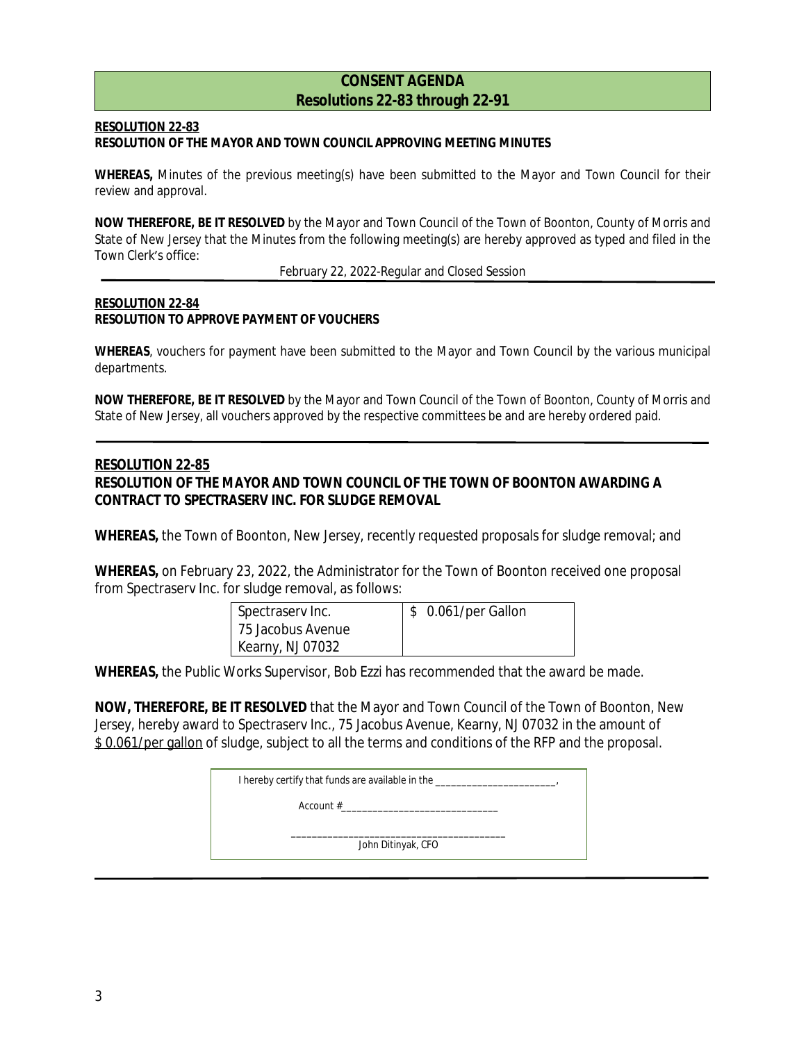## **CONSENT AGENDA Resolutions 22-83 through 22-91**

#### **RESOLUTION 22-83 RESOLUTION OF THE MAYOR AND TOWN COUNCIL APPROVING MEETING MINUTES**

**WHEREAS,** Minutes of the previous meeting(s) have been submitted to the Mayor and Town Council for their review and approval.

**NOW THEREFORE, BE IT RESOLVED** by the Mayor and Town Council of the Town of Boonton, County of Morris and State of New Jersey that the Minutes from the following meeting(s) are hereby approved as typed and filed in the Town Clerk's office:

February 22, 2022-Regular and Closed Session

#### **RESOLUTION 22-84 RESOLUTION TO APPROVE PAYMENT OF VOUCHERS**

**WHEREAS**, vouchers for payment have been submitted to the Mayor and Town Council by the various municipal departments.

**NOW THEREFORE, BE IT RESOLVED** by the Mayor and Town Council of the Town of Boonton, County of Morris and State of New Jersey, all vouchers approved by the respective committees be and are hereby ordered paid.

## **RESOLUTION 22-85**

## **RESOLUTION OF THE MAYOR AND TOWN COUNCIL OF THE TOWN OF BOONTON AWARDING A CONTRACT TO SPECTRASERV INC. FOR SLUDGE REMOVAL**

**WHEREAS,** the Town of Boonton, New Jersey, recently requested proposals for sludge removal; and

**WHEREAS,** on February 23, 2022, the Administrator for the Town of Boonton received one proposal from Spectraserv Inc. for sludge removal, as follows:

| Spectrasery Inc.  | \$ 0.061/per Gallon |
|-------------------|---------------------|
| 75 Jacobus Avenue |                     |
| Kearny, NJ 07032  |                     |

**WHEREAS,** the Public Works Supervisor, Bob Ezzi has recommended that the award be made.

**NOW, THEREFORE, BE IT RESOLVED** that the Mayor and Town Council of the Town of Boonton, New Jersey, hereby award to Spectraserv Inc., 75 Jacobus Avenue, Kearny, NJ 07032 in the amount of \$0.061/per gallon of sludge, subject to all the terms and conditions of the RFP and the proposal.

| I hereby certify that funds are available in the _________ |  |
|------------------------------------------------------------|--|
| Account $#$                                                |  |
| John Ditinyak, CFO                                         |  |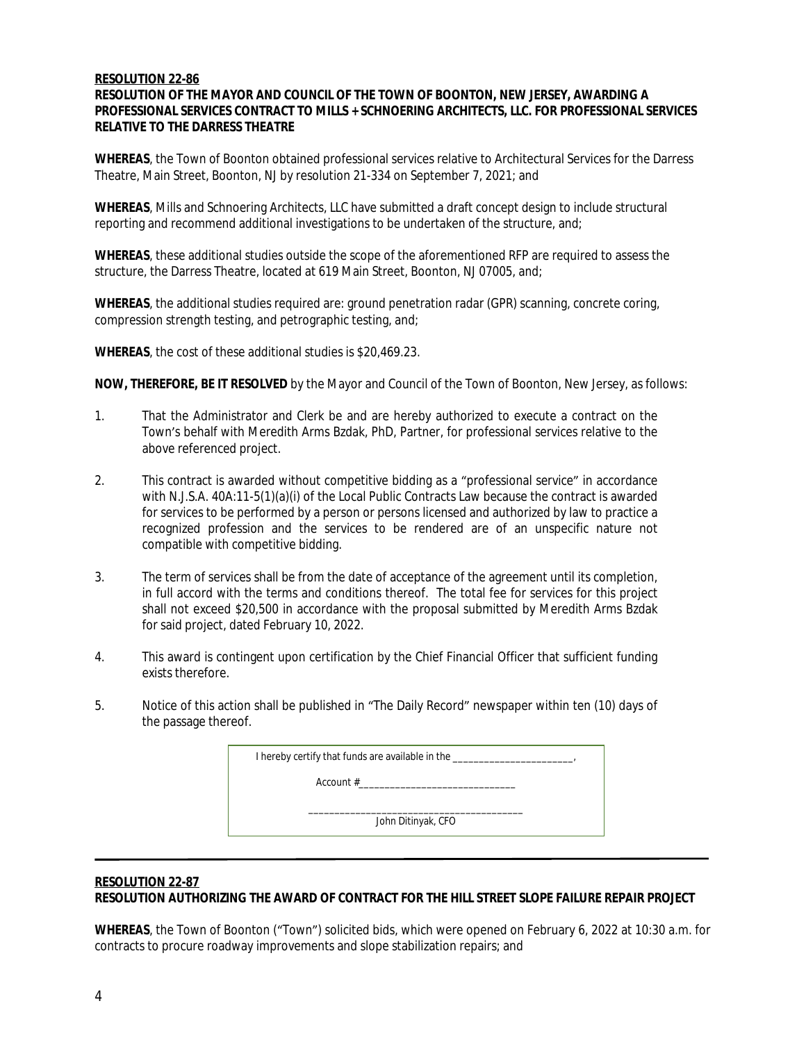#### **RESOLUTION 22-86**

#### **RESOLUTION OF THE MAYOR AND COUNCIL OF THE TOWN OF BOONTON, NEW JERSEY, AWARDING A PROFESSIONAL SERVICES CONTRACT TO MILLS + SCHNOERING ARCHITECTS, LLC. FOR PROFESSIONAL SERVICES RELATIVE TO THE DARRESS THEATRE**

**WHEREAS**, the Town of Boonton obtained professional services relative to Architectural Services for the Darress Theatre, Main Street, Boonton, NJ by resolution 21-334 on September 7, 2021; and

**WHEREAS**, Mills and Schnoering Architects, LLC have submitted a draft concept design to include structural reporting and recommend additional investigations to be undertaken of the structure, and;

**WHEREAS**, these additional studies outside the scope of the aforementioned RFP are required to assess the structure, the Darress Theatre, located at 619 Main Street, Boonton, NJ 07005, and;

**WHEREAS**, the additional studies required are: ground penetration radar (GPR) scanning, concrete coring, compression strength testing, and petrographic testing, and;

**WHEREAS**, the cost of these additional studies is \$20,469.23.

**NOW, THEREFORE, BE IT RESOLVED** by the Mayor and Council of the Town of Boonton, New Jersey, as follows:

- 1. That the Administrator and Clerk be and are hereby authorized to execute a contract on the Town's behalf with Meredith Arms Bzdak, PhD, Partner, for professional services relative to the above referenced project.
- 2. This contract is awarded without competitive bidding as a "professional service" in accordance with N.J.S.A. 40A:11-5(1)(a)(i) of the Local Public Contracts Law because the contract is awarded for services to be performed by a person or persons licensed and authorized by law to practice a recognized profession and the services to be rendered are of an unspecific nature not compatible with competitive bidding.
- 3. The term of services shall be from the date of acceptance of the agreement until its completion, in full accord with the terms and conditions thereof. The total fee for services for this project shall not exceed \$20,500 in accordance with the proposal submitted by Meredith Arms Bzdak for said project, dated February 10, 2022.
- 4. This award is contingent upon certification by the Chief Financial Officer that sufficient funding exists therefore.
- 5. Notice of this action shall be published in "The Daily Record" newspaper within ten (10) days of the passage thereof.

| I hereby certify that funds are available in the |  |
|--------------------------------------------------|--|
| $Account \#$                                     |  |
| John Ditinyak, CFO                               |  |

#### **RESOLUTION 22-87**

**RESOLUTION AUTHORIZING THE AWARD OF CONTRACT FOR THE HILL STREET SLOPE FAILURE REPAIR PROJECT**

**WHEREAS**, the Town of Boonton ("Town") solicited bids, which were opened on February 6, 2022 at 10:30 a.m. for contracts to procure roadway improvements and slope stabilization repairs; and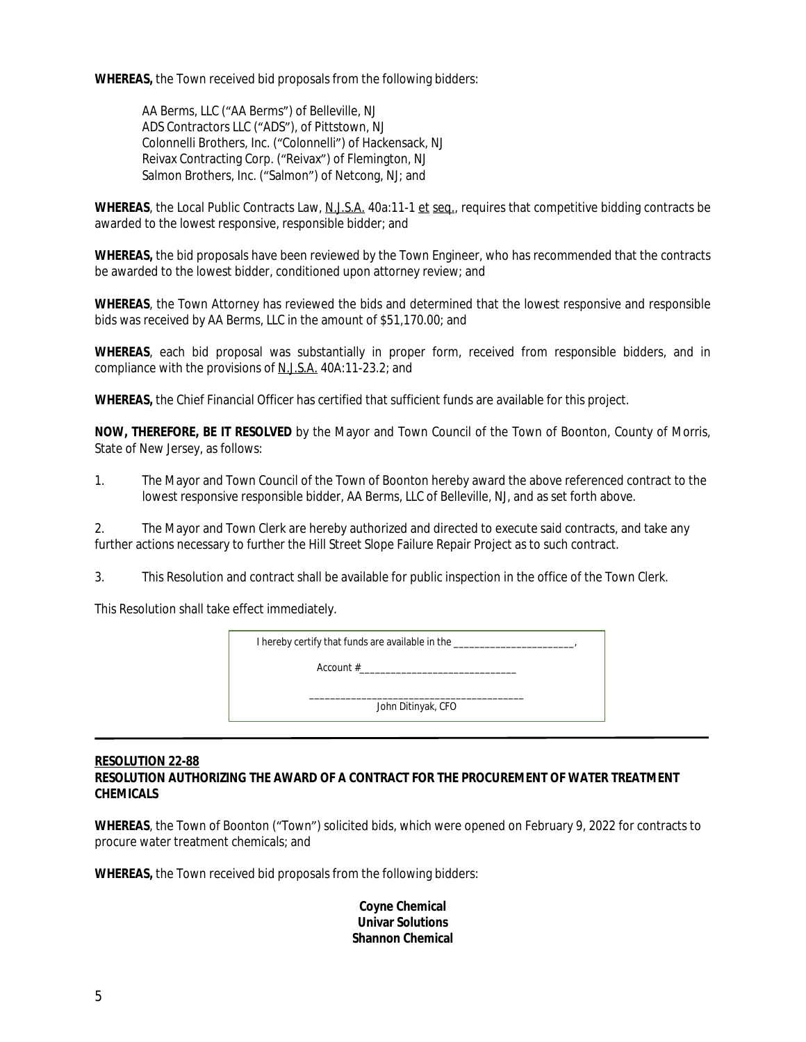**WHEREAS,** the Town received bid proposals from the following bidders:

AA Berms, LLC ("AA Berms") of Belleville, NJ ADS Contractors LLC ("ADS"), of Pittstown, NJ Colonnelli Brothers, Inc. ("Colonnelli") of Hackensack, NJ Reivax Contracting Corp. ("Reivax") of Flemington, NJ Salmon Brothers, Inc. ("Salmon") of Netcong, NJ; and

**WHEREAS**, the Local Public Contracts Law, N.J.S.A. 40a:11-1 et seq., requires that competitive bidding contracts be awarded to the lowest responsive, responsible bidder; and

**WHEREAS,** the bid proposals have been reviewed by the Town Engineer, who has recommended that the contracts be awarded to the lowest bidder, conditioned upon attorney review; and

**WHEREAS**, the Town Attorney has reviewed the bids and determined that the lowest responsive and responsible bids was received by AA Berms, LLC in the amount of \$51,170.00; and

**WHEREAS**, each bid proposal was substantially in proper form, received from responsible bidders, and in compliance with the provisions of N.J.S.A. 40A:11-23.2; and

**WHEREAS,** the Chief Financial Officer has certified that sufficient funds are available for this project.

**NOW, THEREFORE, BE IT RESOLVED** by the Mayor and Town Council of the Town of Boonton, County of Morris, State of New Jersey, as follows:

1. The Mayor and Town Council of the Town of Boonton hereby award the above referenced contract to the lowest responsive responsible bidder, AA Berms, LLC of Belleville, NJ, and as set forth above.

2. The Mayor and Town Clerk are hereby authorized and directed to execute said contracts, and take any further actions necessary to further the Hill Street Slope Failure Repair Project as to such contract.

3. This Resolution and contract shall be available for public inspection in the office of the Town Clerk.

This Resolution shall take effect immediately.

| I hereby certify that funds are available in the |  |
|--------------------------------------------------|--|
| Account #                                        |  |
| John Ditinyak, CFO                               |  |
|                                                  |  |

# **RESOLUTION 22-88**

#### **RESOLUTION AUTHORIZING THE AWARD OF A CONTRACT FOR THE PROCUREMENT OF WATER TREATMENT CHEMICALS**

**WHEREAS**, the Town of Boonton ("Town") solicited bids, which were opened on February 9, 2022 for contracts to procure water treatment chemicals; and

**WHEREAS,** the Town received bid proposals from the following bidders:

#### **Coyne Chemical Univar Solutions Shannon Chemical**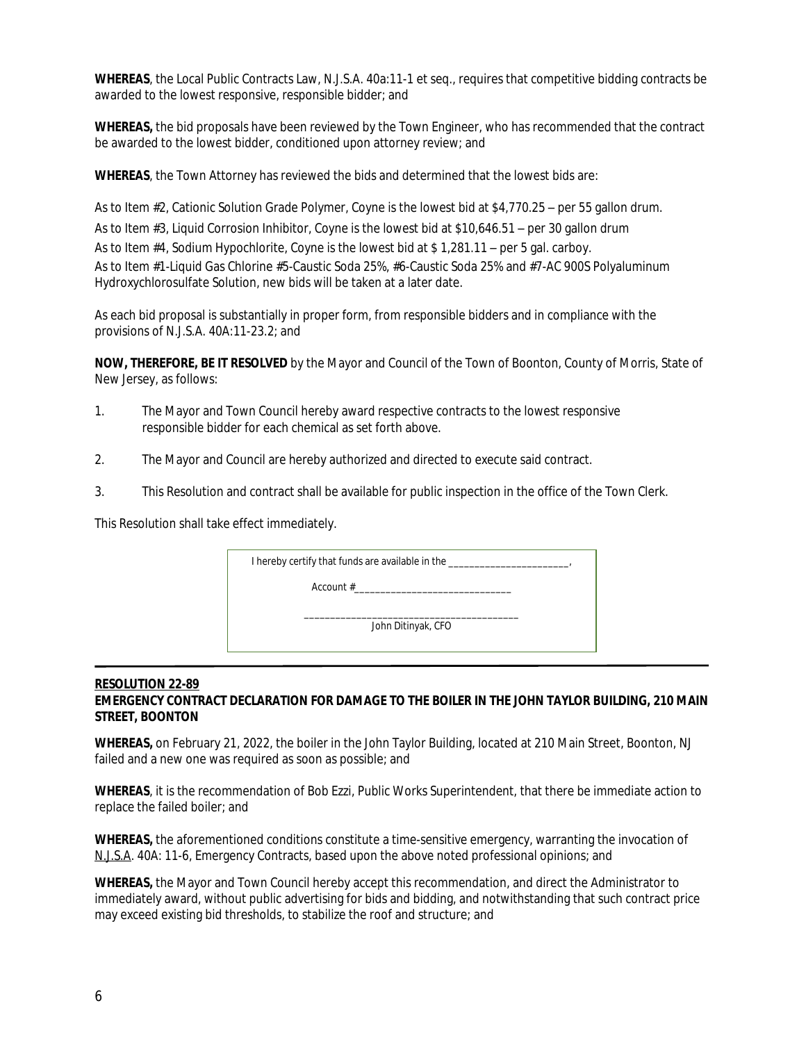**WHEREAS**, the Local Public Contracts Law, N.J.S.A. 40a:11-1 et seq., requires that competitive bidding contracts be awarded to the lowest responsive, responsible bidder; and

**WHEREAS,** the bid proposals have been reviewed by the Town Engineer, who has recommended that the contract be awarded to the lowest bidder, conditioned upon attorney review; and

**WHEREAS**, the Town Attorney has reviewed the bids and determined that the lowest bids are:

As to Item #2, Cationic Solution Grade Polymer, Coyne is the lowest bid at \$4,770.25 – per 55 gallon drum. As to Item #3, Liquid Corrosion Inhibitor, Coyne is the lowest bid at \$10,646.51 – per 30 gallon drum As to Item #4, Sodium Hypochlorite, Coyne is the lowest bid at \$ 1,281.11 – per 5 gal. carboy. As to Item #1-Liquid Gas Chlorine #5-Caustic Soda 25%, #6-Caustic Soda 25% and #7-AC 900S Polyaluminum Hydroxychlorosulfate Solution, new bids will be taken at a later date.

As each bid proposal is substantially in proper form, from responsible bidders and in compliance with the provisions of N.J.S.A. 40A:11-23.2; and

**NOW, THEREFORE, BE IT RESOLVED** by the Mayor and Council of the Town of Boonton, County of Morris, State of New Jersey, as follows:

- 1. The Mayor and Town Council hereby award respective contracts to the lowest responsive responsible bidder for each chemical as set forth above.
- 2. The Mayor and Council are hereby authorized and directed to execute said contract.
- 3. This Resolution and contract shall be available for public inspection in the office of the Town Clerk.

This Resolution shall take effect immediately.

I hereby certify that funds are available in the \_\_\_\_\_\_\_\_\_\_\_\_\_\_\_\_\_\_\_\_\_\_\_\_\_\_\_\_\_\_\_ Account #\_\_\_\_\_\_\_\_\_\_\_\_\_\_\_\_\_\_\_\_\_\_\_\_\_\_\_\_\_\_

> \_\_\_\_\_\_\_\_\_\_\_\_\_\_\_\_\_\_\_\_\_\_\_\_\_\_\_\_\_\_\_\_\_\_\_\_\_\_\_\_\_ John Ditinyak, CFO

#### **RESOLUTION 22-89 EMERGENCY CONTRACT DECLARATION FOR DAMAGE TO THE BOILER IN THE JOHN TAYLOR BUILDING, 210 MAIN STREET, BOONTON**

**WHEREAS,** on February 21, 2022, the boiler in the John Taylor Building, located at 210 Main Street, Boonton, NJ failed and a new one was required as soon as possible; and

**WHEREAS**, it is the recommendation of Bob Ezzi, Public Works Superintendent, that there be immediate action to replace the failed boiler; and

**WHEREAS,** the aforementioned conditions constitute a time-sensitive emergency, warranting the invocation of N.J.S.A. 40A: 11-6, Emergency Contracts, based upon the above noted professional opinions; and

**WHEREAS,** the Mayor and Town Council hereby accept this recommendation, and direct the Administrator to immediately award, without public advertising for bids and bidding, and notwithstanding that such contract price may exceed existing bid thresholds, to stabilize the roof and structure; and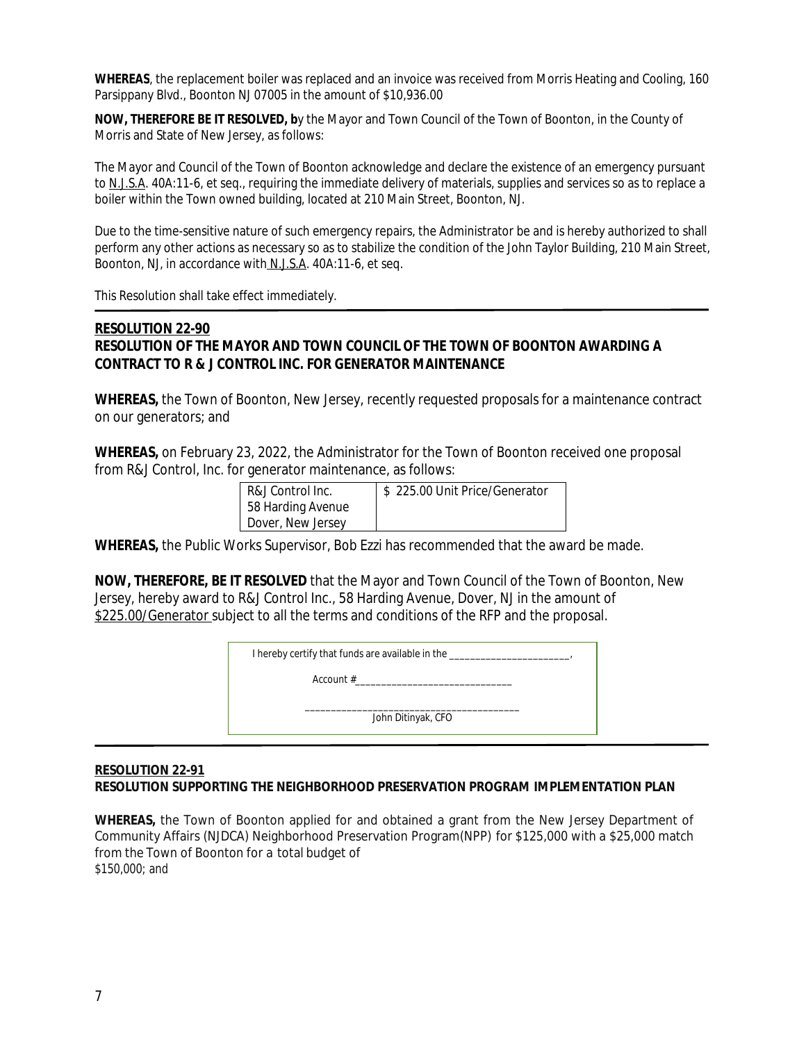**WHEREAS**, the replacement boiler was replaced and an invoice was received from Morris Heating and Cooling, 160 Parsippany Blvd., Boonton NJ 07005 in the amount of \$10,936.00

**NOW, THEREFORE BE IT RESOLVED, b**y the Mayor and Town Council of the Town of Boonton, in the County of Morris and State of New Jersey, as follows:

The Mayor and Council of the Town of Boonton acknowledge and declare the existence of an emergency pursuant to N.J.S.A. 40A:11-6, et seq., requiring the immediate delivery of materials, supplies and services so as to replace a boiler within the Town owned building, located at 210 Main Street, Boonton, NJ.

Due to the time-sensitive nature of such emergency repairs, the Administrator be and is hereby authorized to shall perform any other actions as necessary so as to stabilize the condition of the John Taylor Building, 210 Main Street, Boonton, NJ, in accordance with N.J.S.A. 40A:11-6, et seq.

This Resolution shall take effect immediately.

#### **RESOLUTION 22-90 RESOLUTION OF THE MAYOR AND TOWN COUNCIL OF THE TOWN OF BOONTON AWARDING A CONTRACT TO R & J CONTROL INC. FOR GENERATOR MAINTENANCE**

**WHEREAS,** the Town of Boonton, New Jersey, recently requested proposals for a maintenance contract on our generators; and

**WHEREAS,** on February 23, 2022, the Administrator for the Town of Boonton received one proposal from R&J Control, Inc. for generator maintenance, as follows:

| R&J Control Inc.  | \$225.00 Unit Price/Generator |
|-------------------|-------------------------------|
| 58 Harding Avenue |                               |
| Dover, New Jersey |                               |

**WHEREAS,** the Public Works Supervisor, Bob Ezzi has recommended that the award be made.

**NOW, THEREFORE, BE IT RESOLVED** that the Mayor and Town Council of the Town of Boonton, New Jersey, hereby award to R&J Control Inc., 58 Harding Avenue, Dover, NJ in the amount of \$225.00/Generator subject to all the terms and conditions of the RFP and the proposal.

| I hereby certify that funds are available in the |  |
|--------------------------------------------------|--|
| Account $#$                                      |  |
| John Ditinyak, CFO                               |  |
|                                                  |  |

#### **RESOLUTION 22-91 RESOLUTION SUPPORTING THE NEIGHBORHOOD PRESERVATION PROGRAM IMPLEMENTATION PLAN**

**WHEREAS,** the Town of Boonton applied for and obtained a grant from the New Jersey Department of Community Affairs (NJDCA) Neighborhood Preservation Program(NPP) for \$125,000 with a \$25,000 match from the Town of Boonton for a total budget of \$150,000; and